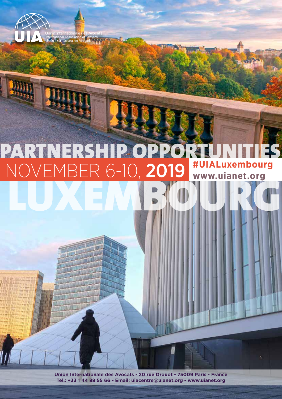

# PARTNERSHIP OPPORT LUXEMBOURG NOVEMBER 6-10, **2019 www.uianet.org**

**Union Internationale des Avocats - 20 rue Drouot - 75009 Paris - France Tel.: +33 1 44 88 55 66 - Email: uiacentre@uianet.org - www.uianet.org**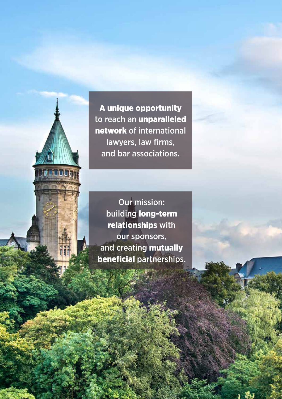A unique opportunity to reach an unparalleled network of international lawyers, law firms, and bar associations.

**IT LELELIST** 

Our mission: building long-term relationships with our sponsors, and creating mutually beneficial partnerships.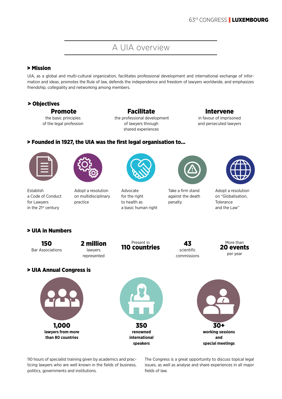### A UIA overview

### > Mission

UIA, as a global and multi-cultural organization, facilitates professional development and international exchange of information and ideas, promotes the Rule of law, defends the independence and freedom of lawyers worldwide, and emphasizes friendship, collegiality and networking among members.

### > Objectives

#### Promote

the basic principles of the legal profession

### Facilitate

 the professional development of lawyers through shared experiences

### Intervene

in favour of imprisoned and persecuted lawyers

### > Founded in 1927, the UIA was the first legal organisation to...





practice

Establish a Code of Conduct for Lawyers in the 21<sup>st</sup> century

Adopt a resolution on multidisciplinary



Advocate for the right to health as a basic human right



Take a firm stand against the death penalty



Adopt a resolution on "Globalisation, Tolerance and the Law"

### > UIA in Numbers

150 Bar Associations



Present in **43**<br><sup>110</sup> countries 43

scientific commissions







350 **renowned international speakers**



110 hours of specialist training given by academics and practicing lawyers who are well known in the fields of business, politics, governments and institutions.

The Congress is a great opportunity to discuss topical legal issues, as well as analyse and share experiences in all major fields of law.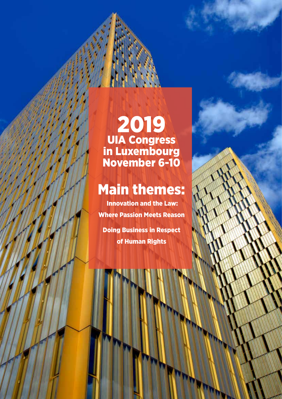2019 UIA Congress in Luxembourg November 6-10

# Main themes:

 Innovation and the Law: Where Passion Meets Reason

Doing Business in Respect of Human Rights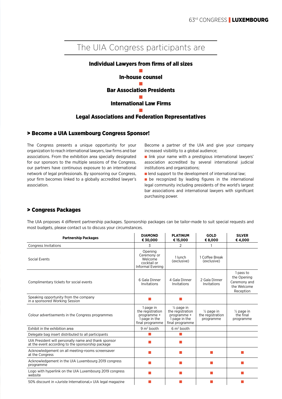### The UIA Congress participants are



### > Become a UIA Luxembourg Congress Sponsor!

The Congress presents a unique opportunity for your organization to reach international lawyers, law firms and bar associations. From the exhibition area specially designated for our sponsors to the multiple sessions of the Congress, our partners have continuous exposure to an international network of legal professionals. By sponsoring our Congress, your firm becomes linked to a globally accredited lawyer's association.

Become a partner of the UIA and give your company increased visibility to a global audience;

I link your name with a prestigious international lawyers' association accredited by several international judicial institutions and organizations;

 $\blacksquare$  lend support to the development of international law;

 $\blacksquare$  be recognized by leading figures in the international legal community including presidents of the world's largest bar associations and international lawyers with significant purchasing power.

### > Congress Packages

The UIA proposes 4 different partnership packages. Sponsorship packages can be tailor-made to suit special requests and most budgets, please contact us to discuss your circumstances.

| <b>Partnership Packages</b>                                                                               | <b>DIAMOND</b><br>€ 30,000                                                       | <b>PLATINUM</b><br>€ 15,000                                                                  | <b>GOLD</b><br>€8,000                                  |                                                                      |
|-----------------------------------------------------------------------------------------------------------|----------------------------------------------------------------------------------|----------------------------------------------------------------------------------------------|--------------------------------------------------------|----------------------------------------------------------------------|
| <b>Congress Invitations</b>                                                                               | 3                                                                                | 2                                                                                            |                                                        |                                                                      |
| Social Events                                                                                             | Opening<br>Ceremony or<br>Welcome<br>cocktail or<br>Informal Evening             | 1 lunch<br>(exclusive)                                                                       | 1 Coffee Break<br>(exclusive)                          |                                                                      |
| Complimentary tickets for social events                                                                   | 6 Gala Dinner<br>Invitations                                                     | 4 Gala Dinner<br>Invitations                                                                 | 2 Gala Dinner<br>Invitations                           | 1 pass to<br>the Opening<br>Ceremony and<br>the Welcome<br>Reception |
| Speaking opportunity from the company<br>in a sponsored Working Session                                   |                                                                                  |                                                                                              |                                                        |                                                                      |
| Colour advertisements in the Congress programmes                                                          | 1 page in<br>the registration<br>programme +<br>1 page in the<br>final programme | $\frac{1}{2}$ page in<br>the registration<br>programme +<br>1 page in the<br>final programme | $\frac{1}{2}$ page in<br>the registration<br>programme | $\frac{1}{2}$ page in<br>the final<br>programme                      |
| Exhibit in the exhibition area                                                                            | $9 m2$ booth                                                                     | $6 m2$ booth                                                                                 |                                                        |                                                                      |
| Delegate bag insert distributed to all participants                                                       |                                                                                  |                                                                                              |                                                        |                                                                      |
| UIA President will personally name and thank sponsor<br>at the event according to the sponsorship package |                                                                                  |                                                                                              |                                                        |                                                                      |
| Acknowledgement on all meeting-rooms screensaver<br>at the Congress                                       |                                                                                  |                                                                                              |                                                        |                                                                      |
| Acknowledgement in the UIA Luxembourg 2019 congress<br>programme                                          |                                                                                  |                                                                                              |                                                        |                                                                      |
| Logo with hyperlink on the UIA Luxembourg 2019 congress<br>website                                        |                                                                                  |                                                                                              |                                                        |                                                                      |
| 50% discount in «Juriste International,» UIA legal magazine                                               |                                                                                  |                                                                                              |                                                        |                                                                      |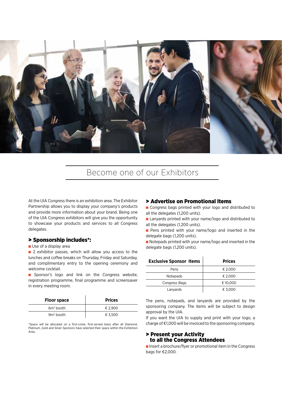

### Become one of our Exhibitors

At the UIA Congress there is an exhibition area. The Exhibitor Partnership allows you to display your company's products and provide more information about your brand. Being one of the UIA Congress exhibitors will give you the opportunity to showcase your products and services to all Congress delegates.

#### > Sponsorship includes\*:

#### **N** Use of a display area

**n** 2 exhibitor passes, which will allow you access to the lunches and coffee breaks on Thursday, Friday and Saturday, and complimentary entry to the opening ceremony and welcome cocktail.

**n** Sponsor's logo and link on the Congress website, registration programme, final programme and screensaver in every meeting room.

| <b>Floor space</b> | <b>Prices</b> |
|--------------------|---------------|
| $6m2$ booth        | € 2.900       |
| $9m2$ booth        | € 3.500       |

\*Space will be allocated on a first-come, first-served basis after all Diamond, Platinum, Gold and Silver Sponsors have selected their space within the Exhibition Area.

#### > Advertise on Promotional Items

■ Congress bags printed with your logo and distributed to all the delegates (1,200 units).

- n Lanyards printed with your name/logo and distributed to all the delegates (1,200 units).
- **n** Pens printed with your name/logo and inserted in the delegate bags (1,200 units).
- $\blacksquare$  Notepads printed with your name/logo and inserted in the delegate bags (1,200 units).

| <b>Exclusive Sponsor Items</b> | <b>Prices</b> |
|--------------------------------|---------------|
| Pens                           | € 2,000       |
| <b>Notepads</b>                | € 2,000       |
| Congress Bags                  | € 10,000      |
| Lanyards                       | € 3.000       |

The pens, notepads, and lanyards are provided by the sponsoring company. The items will be subject to design approval by the UIA.

If you want the UIA to supply and print with your logo, a charge of €1,000 will be invoiced to the sponsoring company.

#### > Present your Activity to all the Congress Attendees

 $\blacksquare$  Insert a brochure/flyer or promotional item in the Congress bags for €2,000.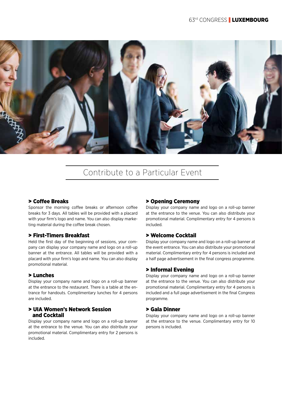

### Contribute to a Particular Event

### > Coffee Breaks

Sponsor the morning coffee breaks or afternoon coffee breaks for 3 days. All tables will be provided with a placard with your firm's logo and name. You can also display marketing material during the coffee break chosen.

### > First-Timers Breakfast

Held the first day of the beginning of sessions, your company can display your company name and logo on a roll-up banner at the entrance. All tables will be provided with a placard with your firm's logo and name. You can also display promotional material.

### > Lunches

Display your company name and logo on a roll-up banner at the entrance to the restaurant. There is a table at the entrance for handouts. Complimentary lunches for 4 persons are included.

### > UIA Women's Network Session and Cocktail

Display your company name and logo on a roll-up banner at the entrance to the venue. You can also distribute your promotional material. Complimentary entry for 2 persons is included.

### > Opening Ceremony

Display your company name and logo on a roll-up banner at the entrance to the venue. You can also distribute your promotional material. Complimentary entry for 4 persons is included.

### > Welcome Cocktail

Display your company name and logo on a roll-up banner at the event entrance. You can also distribute your promotional material. Complimentary entry for 4 persons is included and a half page advertisement in the final congress programme.

### > Informal Evening

Display your company name and logo on a roll-up banner at the entrance to the venue. You can also distribute your promotional material. Complimentary entry for 4 persons is included and a full page advertisement in the final Congress programme.

### > Gala Dinner

Display your company name and logo on a roll-up banner at the entrance to the venue. Complimentary entry for 10 persons is included.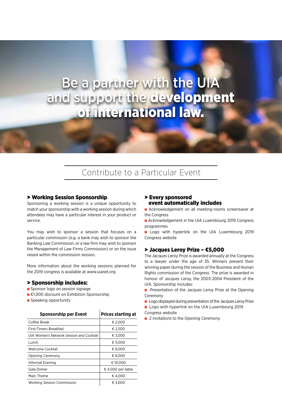## Be a partner with the UIA and support the development of international law.

### Contribute to a Particular Event

#### > Working Session Sponsorship

Sponsoring a working session is a unique opportunity to match your sponsorship with a working session during which attendees may have a particular interest in your product or service.

You may wish to sponsor a session that focuses on a particular commission (e.g. a bank may wish to sponsor the Banking Law Commission, or a law firm may wish to sponsor the Management of Law Firms Commission) or on the issue raised within the commission session.

More information about the working sessions planned for the 2019 congress is available at www.uianet.org

#### > Sponsorship includes:

- **n** Sponsor logo on session signage
- €1,000 discount on Exhibition Sponsorship
- $\square$  Speaking opportunity

| <b>Sponsorship per Event</b>             | <b>Prices starting at</b> |
|------------------------------------------|---------------------------|
| Coffee Break                             | € 2,000                   |
| <b>First-Timers Breakfast</b>            | € 2,500                   |
| UIA Women's Network Session and Cocktail | € 3,000                   |
| Lunch                                    | € 5,000                   |
| Welcome Cocktail                         | € 8,000                   |
| Opening Ceremony                         | € 8,000                   |
| Informal Evening                         | € 10,000                  |
| Gala Dinner                              | € 4,000 per table         |
| Main Theme                               | €4.000                    |
| <b>Working Session Commission</b>        | € 3.000                   |

### > Every sponsored event automatically includes

■ Acknowledgement on all meeting-rooms screensaver at the Congress

■ Acknowledgement in the UIA Luxembourg 2019 Congress programmes

**n** Logo with hyperlink on the UIA Luxembourg 2019 Congress website

### > Jacques Leroy Prize – €5,000

The Jacques Leroy Prize is awarded annually at the Congress to a lawyer under the age of 35. Winners present their winning paper during the session of the Business and Human Rights commission of the Congress. The prize is awarded in honour of Jacques Leroy, the 2003-2004 President of the UIA. Sponsorship includes:

**n** Presentation of the Jacques Leroy Prize at the Opening Ceremony

- **n** Logo displayed during presentation of the Jacques Leroy Prize
- Logo with hyperlink on the UIA Luxembourg 2019
- Congress website
- 2 invitations to the Opening Ceremony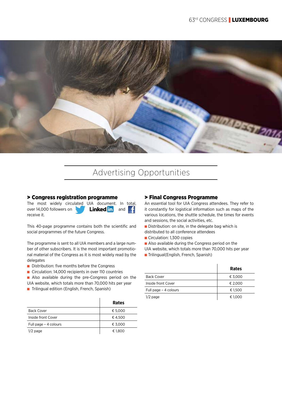

### Advertising Opportunities

### > Congress registration programme

|             |  |  | The most widely circulated UIA document. In total,         |  |
|-------------|--|--|------------------------------------------------------------|--|
|             |  |  | over 14,000 followers on <b>Committeed in</b> and <b>f</b> |  |
| receive it. |  |  |                                                            |  |

This 40-page programme contains both the scientific and social programmes of the future Congress.

The programme is sent to all UIA members and a large number of other subscribers. It is the most important promotional material of the Congress as it is most widely read by the delegates

 $\blacksquare$  Distribution: five months before the Congress

■ Circulation: 14,000 recipients in over 110 countries

■ Also available during the pre-Congress period on the

UIA website, which totals more than 70,000 hits per year

■ Trilingual edition (English, French, Spanish)

### > Final Congress Programme

An essential tool for UIA Congress attendees. They refer to it constantly for logistical information such as maps of the various locations, the shuttle schedule, the times for events and sessions, the social activities, etc.

- $\blacksquare$  Distribution: on site, in the delegate bag which is
- distributed to all conference attendees
- Circulation: 1,300 copies
- $\blacksquare$  Also available during the Congress period on the
- UIA website, which totals more than 70,000 hits per year
- Trilingual(English, French, Spanish)

|                       | <b>Rates</b> |
|-----------------------|--------------|
| <b>Back Cover</b>     | € 3,000      |
| Inside front Cover    | € 2,000      |
| Full page - 4 colours | € 1,500      |
| $1/2$ page            | € 1,000      |

|                       | <b>Rates</b> |
|-----------------------|--------------|
| <b>Back Cover</b>     | € 5,000      |
| Inside front Cover    | € 4,500      |
| Full page - 4 colours | € 3,000      |
| $1/2$ page            | € 1,800      |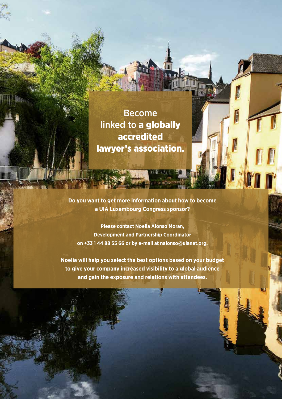Become linked to a globally accredited lawyer's association.

F

**Do you want to get more information about how to become a UIA Luxembourg Congress sponsor?** 

オト番号の かいち

**Provident** 

**Please contact Noelia Alonso Moran, Development and Partnership Coordinator on +33 1 44 88 55 66 or by e-mail at nalonso@uianet.org.**

**Noelia will help you select the best options based on your budget to give your company increased visibility to a global audience and gain the exposure and relations with attendees.**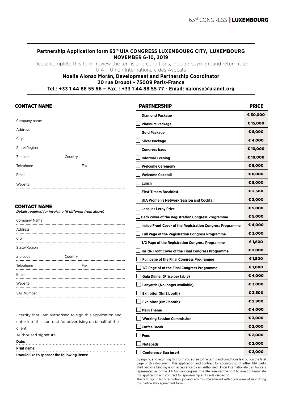### **Partnership Application form 63rd UIA CONGRESS LUXEMBOURG CITY, LUXEMBOURG NOVEMBER 6-10, 2019**

Please complete this form, review the terms and conditions, include payment and return it to: UIA – Union Internationale des Avocats

### **Noelia Alonso Morán, Development and Partnership Coordinator 20 rue Drouot - 75009 Paris-France Tel.: +33 1 44 88 55 66 – Fax. : +33 1 44 88 55 77 - Email: nalonso@uianet.org**

### CONTACT NAME

| Company name |         |
|--------------|---------|
| .<br>Address |         |
| City         |         |
| State/Region |         |
| Zip code     | Country |
| Telephone    | Fax     |
| Email        |         |
| Website      |         |

### CONTACT NAME

*Details required for invoicing (if different from above)*

| Company Name |         |
|--------------|---------|
| Address      |         |
| City         |         |
| State/Region |         |
| Zip code     | Country |
| Telephone    | Fax     |
| Email        |         |
| Website      |         |
| VAT Number   |         |

I certify that I am authorised to sign this application and enter into this contract for advertising on behalf of the client.

Authorised signature.

|  |  | $-$ |  |
|--|--|-----|--|
|  |  |     |  |

**Date:**

**Print name: I would like to sponsor the following items:**

| <b>PARTNERSHIP</b>                                        | <b>PRICE</b> |
|-----------------------------------------------------------|--------------|
| <b>Diamond Package</b>                                    | € 30,000     |
| <b>Platinum Package</b>                                   | € 15,000     |
| <b>Gold Package</b>                                       | € 8,000      |
| <b>Silver Package</b>                                     | € 4,000      |
| <b>Congress bags</b>                                      | € 10,000     |
| <b>Informal Evening</b>                                   | € 10,000     |
| <b>Welcome Ceremony</b>                                   | € 8,000      |
| <b>Welcome Cocktail</b>                                   | € 8,000      |
| Lunch                                                     | € 5,000      |
| <b>First-Timers Breakfast</b>                             | € 2,500      |
| <b>UIA Women's Network Session and Cocktail</b>           | € 3,000      |
| <b>Jacques Leroy Prize</b>                                | € 5,000      |
| <b>Back cover of the Registration Congress Programme</b>  | € 5,000      |
| Inside Front Cover of the Registration Congress Programme | € 4,000      |
| <b>Full Page of the Registration Congress Programme</b>   | € 3,000      |
| 1/2 Page of the Registration Congress Programme           | € 1,800      |
| Inside Front Cover of the Final Congress Programme        | € 2,000      |
| <b>Full page of the Final Congress Programme</b>          | € 1,500      |
| 1/2 Page of of the Final Congress Programme               | € 1,000      |
| Gala Dinner (Price per table)                             | € 4,000      |
| Lanyards (No longer available)                            | € 3,000      |
| Exhibitor (9m2 booth)                                     | € 3,500      |
| Exhibitor (6m2 booth)                                     | € 2,900      |
| Main Theme                                                | € 4,000      |
| <b>Working Session Commission</b>                         | € 3,000      |
| <b>Coffee Break</b>                                       | € 2,000      |
| Pens                                                      | € 2,000      |
| <b>Notepads</b>                                           | € 2,000      |

By signing and returning this form you agree to the terms and conditions laid out on the final page of this document. This application and contract for sponsorship of either UIA party shall become binding upon acceptance by an authorised Union Internationale des Avocats representative for the UIA Annual Congress. The UIA reserves the right to reject or terminate this application and contract for sponsorship at its sole discretion.

■ <sup>C</sup>**onference Bag insert** € 2,000

The firm logo in high-resolution .jpg and .eps must be emailed within one week of submitting this partnership agreement form.